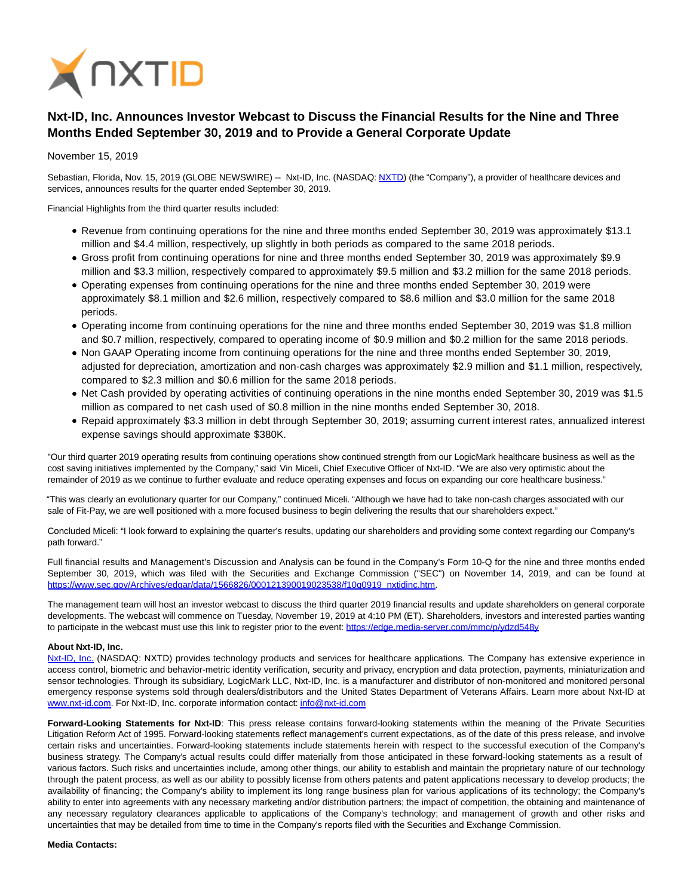

## **Nxt-ID, Inc. Announces Investor Webcast to Discuss the Financial Results for the Nine and Three Months Ended September 30, 2019 and to Provide a General Corporate Update**

## November 15, 2019

Sebastian, Florida, Nov. 15, 2019 (GLOBE NEWSWIRE) -- Nxt-ID, Inc. (NASDAQ: [NXTD\)](https://www.globenewswire.com/Tracker?data=9cGBz76879pRacYuFbeeJ0VUH30-fjD1o3AAZpDV1xAD_rskMR-4vQG3w9ZafxTnS0Uqw4EdVsAMf_k8fzkdvg==) (the "Company"), a provider of healthcare devices and services, announces results for the quarter ended September 30, 2019.

Financial Highlights from the third quarter results included:

- Revenue from continuing operations for the nine and three months ended September 30, 2019 was approximately \$13.1 million and \$4.4 million, respectively, up slightly in both periods as compared to the same 2018 periods.
- Gross profit from continuing operations for nine and three months ended September 30, 2019 was approximately \$9.9 million and \$3.3 million, respectively compared to approximately \$9.5 million and \$3.2 million for the same 2018 periods.
- Operating expenses from continuing operations for the nine and three months ended September 30, 2019 were approximately \$8.1 million and \$2.6 million, respectively compared to \$8.6 million and \$3.0 million for the same 2018 periods.
- Operating income from continuing operations for the nine and three months ended September 30, 2019 was \$1.8 million and \$0.7 million, respectively, compared to operating income of \$0.9 million and \$0.2 million for the same 2018 periods.
- Non GAAP Operating income from continuing operations for the nine and three months ended September 30, 2019, adjusted for depreciation, amortization and non-cash charges was approximately \$2.9 million and \$1.1 million, respectively, compared to \$2.3 million and \$0.6 million for the same 2018 periods.
- Net Cash provided by operating activities of continuing operations in the nine months ended September 30, 2019 was \$1.5 million as compared to net cash used of \$0.8 million in the nine months ended September 30, 2018.
- Repaid approximately \$3.3 million in debt through September 30, 2019; assuming current interest rates, annualized interest expense savings should approximate \$380K.

"Our third quarter 2019 operating results from continuing operations show continued strength from our LogicMark healthcare business as well as the cost saving initiatives implemented by the Company," said Vin Miceli, Chief Executive Officer of Nxt-ID. "We are also very optimistic about the remainder of 2019 as we continue to further evaluate and reduce operating expenses and focus on expanding our core healthcare business."

"This was clearly an evolutionary quarter for our Company," continued Miceli. "Although we have had to take non-cash charges associated with our sale of Fit-Pay, we are well positioned with a more focused business to begin delivering the results that our shareholders expect."

Concluded Miceli: "I look forward to explaining the quarter's results, updating our shareholders and providing some context regarding our Company's path forward."

Full financial results and Management's Discussion and Analysis can be found in the Company's Form 10-Q for the nine and three months ended September 30, 2019, which was filed with the Securities and Exchange Commission ("SEC") on November 14, 2019, and can be found at [https://www.sec.gov/Archives/edgar/data/1566826/000121390019023538/f10q0919\\_nxtidinc.htm.](https://www.globenewswire.com/Tracker?data=Akjty46vzinsf7TsZENgUoO44GF2almFoqGvdvXmsFTiDo3y8n2RU-uZexu1iokUXXZo3eMRVkegDh1Th0IKENG4VyKUQCbOilKc6FtDmHa0UobwT3sB-Dn_TZEvqGUSMl0ICAMMYZGACoSLY7oW1X7d49zwRg9dmpSEQTrq8dHkGlewmkiWub4dmas-J-Dhxt_6WSh6LygvOKRO2j_ALhPoJ8BjmlyFtbmvfWJGELRPqWoyq31VB5It22NzSwSFkyuBuiLQeaQjLVUli9ADog==)

The management team will host an investor webcast to discuss the third quarter 2019 financial results and update shareholders on general corporate developments. The webcast will commence on Tuesday, November 19, 2019 at 4:10 PM (ET). Shareholders, investors and interested parties wanting to participate in the webcast must use this link to register prior to the event: [https://edge.media-server.com/mmc/p/ydzd548y](https://www.globenewswire.com/Tracker?data=Akjty46vzinsf7TsZENgUnsSWrnKWm8fqCfTS0sEOlIvSNZTrPiBjPN09ETeWezjHDYURny5Bqft2OPKSk968L6-pnlxCtQDYtWnb2AaMrtWE8lXeNql8m6zPXACV79soWSD48KI4LCUuHAq95df2A==)

## **About Nxt-ID, Inc.**

[Nxt-ID, Inc. \(](https://www.globenewswire.com/Tracker?data=eWQ5qsq-vPSXukM8bjSTiPJn4lyErdU2lGDlRnU_TkTPNdWhdOuUbQclCrlpNEuILFxWlFiGpZZFF1Fu1BDckg==)NASDAQ: NXTD) provides technology products and services for healthcare applications. The Company has extensive experience in access control, biometric and behavior-metric identity verification, security and privacy, encryption and data protection, payments, miniaturization and sensor technologies. Through its subsidiary, LogicMark LLC, Nxt-ID, Inc. is a manufacturer and distributor of non-monitored and monitored personal emergency response systems sold through dealers/distributors and the United States Department of Veterans Affairs. Learn more about Nxt-ID at [www.nxt-id.com.](https://www.globenewswire.com/Tracker?data=m2RC5JVsygmvE3yLMw87wcaDQi0t4Wu-cC3Cd2JtZ_FX0K3tI7ag-v-Vc7C7ULaBSbvw9rqnbN8b2OJwRs7fuw==) For Nxt-ID, Inc. corporate information contact[: info@nxt-id.com](https://www.globenewswire.com/Tracker?data=xtsKH8G4TDxrV75lP12Ql1kbW13ybXPbKNchWy2w52haDhkr99A_CSn0VoI6dfpeRHD8WDjOHB_VD2X7fgp-SQ==)

**Forward-Looking Statements for Nxt-ID**: This press release contains forward-looking statements within the meaning of the Private Securities Litigation Reform Act of 1995. Forward-looking statements reflect management's current expectations, as of the date of this press release, and involve certain risks and uncertainties. Forward-looking statements include statements herein with respect to the successful execution of the Company's business strategy. The Company's actual results could differ materially from those anticipated in these forward-looking statements as a result of various factors. Such risks and uncertainties include, among other things, our ability to establish and maintain the proprietary nature of our technology through the patent process, as well as our ability to possibly license from others patents and patent applications necessary to develop products; the availability of financing; the Company's ability to implement its long range business plan for various applications of its technology; the Company's ability to enter into agreements with any necessary marketing and/or distribution partners; the impact of competition, the obtaining and maintenance of any necessary regulatory clearances applicable to applications of the Company's technology; and management of growth and other risks and uncertainties that may be detailed from time to time in the Company's reports filed with the Securities and Exchange Commission.

## **Media Contacts:**